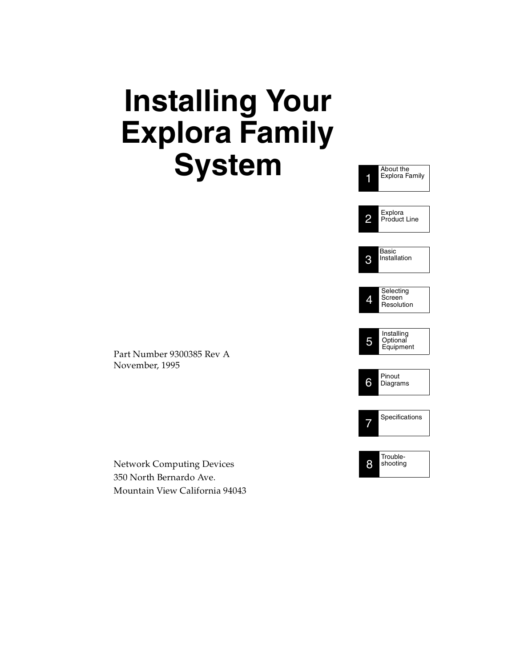# **Installing Your Explora Family System**



Part Number 9300385 Rev A November, 1995

Network Computing Devices 350 North Bernardo Ave. Mountain View California 94043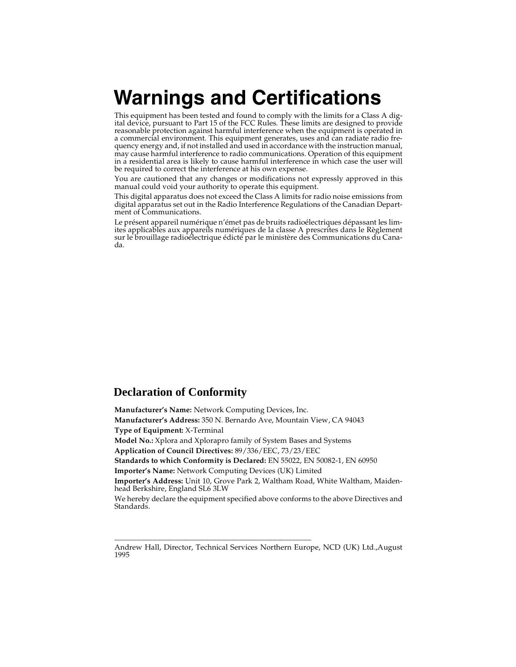# **Warnings and Certifications**

This equipment has been tested and found to comply with the limits for a Class A digital device, pursuant to Part 15 of the FCC Rules. These limits are designed to provide reasonable protection against harmful interference when the equipment is operated in a commercial environment. This equipment generates, uses and can radiate radio frequency energy and, if not installed and used in accordance with the instruction manual, may cause harmful interference to radio communications. Operation of this equipment in a residential area is likely to cause harmful interference in which case the user will be required to correct the interference at his own expense.

You are cautioned that any changes or modifications not expressly approved in this manual could void your authority to operate this equipment.

This digital apparatus does not exceed the Class A limits for radio noise emissions from digital apparatus set out in the Radio Interference Regulations of the Canadian Department of Communications.

Le présent appareil numérique n'émet pas de bruits radioélectriques dépassant les limites applicables aux appareils numériques de la classe A prescrites dans le Règlement sur le brouillage radioélectrique édicté par le ministère des Communications du Canada.

### **Declaration of Conformity**

**Manufacturer's Name:** Network Computing Devices, Inc. **Manufacturer's Address:** 350 N. Bernardo Ave, Mountain View, CA 94043 **Type of Equipment:** X-Terminal **Model No.:** Xplora and Xplorapro family of System Bases and Systems **Application of Council Directives:** 89/336/EEC, 73/23/EEC **Standards to which Conformity is Declared:** EN 55022, EN 50082-1, EN 60950 **Importer's Name:** Network Computing Devices (UK) Limited **Importer's Address:** Unit 10, Grove Park 2, Waltham Road, White Waltham, Maidenhead Berkshire, England SL6 3LW We hereby declare the equipment specified above conforms to the above Directives and Standards.

\_\_\_\_\_\_\_\_\_\_\_\_\_\_\_\_\_\_\_\_\_\_\_\_\_\_\_\_\_\_\_\_\_\_\_\_\_\_\_\_\_\_\_\_\_\_\_\_\_\_\_\_

Andrew Hall, Director, Technical Services Northern Europe, NCD (UK) Ltd.,August 1995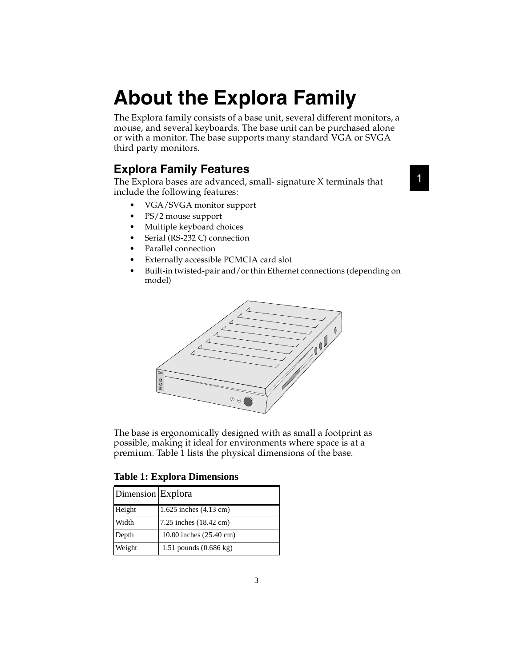# **About the Explora Family**

The Explora family consists of a base unit, several different monitors, a mouse, and several keyboards. The base unit can be purchased alone or with a monitor. The base supports many standard VGA or SVGA third party monitors.

### **Explora Family Features**

The Explora bases are advanced, small- signature X terminals that include the following features:

- VGA/SVGA monitor support
- PS/2 mouse support
- Multiple keyboard choices
- Serial (RS-232 C) connection
- Parallel connection
- Externally accessible PCMCIA card slot
- Built-in twisted-pair and/or thin Ethernet connections (depending on model)



The base is ergonomically designed with as small a footprint as possible, making it ideal for environments where space is at a premium. Table 1 lists the physical dimensions of the base.

**Table 1: Explora Dimensions**

|                   | Xxx<br><b>OON</b><br>$^{\circ}$<br>The base is ergonomically designed with<br>possible, making it ideal for environmen |
|-------------------|------------------------------------------------------------------------------------------------------------------------|
|                   | premium. Table 1 lists the physical dimer<br><b>Table 1: Explora Dimensions</b>                                        |
| Dimension Explora |                                                                                                                        |
| Height            | 1.625 inches $(4.13 \text{ cm})$                                                                                       |
| Width             | 7.25 inches (18.42 cm)                                                                                                 |
| Depth             | 10.00 inches (25.40 cm)                                                                                                |
| Weight            | 1.51 pounds $(0.686 \text{ kg})$                                                                                       |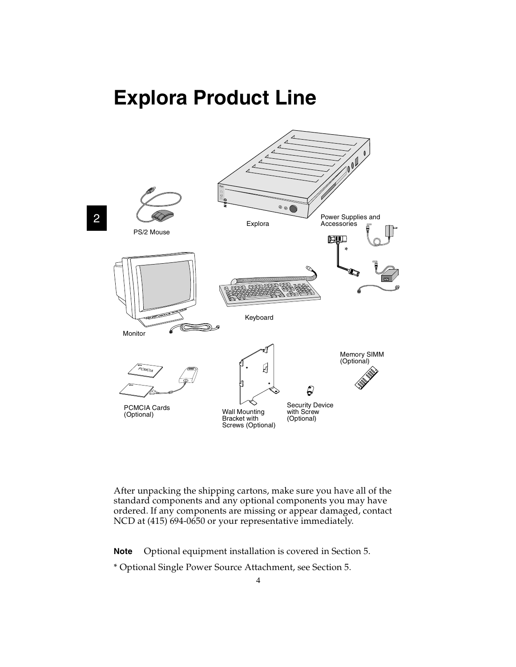## **Explora Product Line**



After unpacking the shipping cartons, make sure you have all of the standard components and any optional components you may have ordered. If any components are missing or appear damaged, contact NCD at (415) 694-0650 or your representative immediately.

**Note** Optional equipment installation is covered in Section 5.

\* Optional Single Power Source Attachment, see Section 5.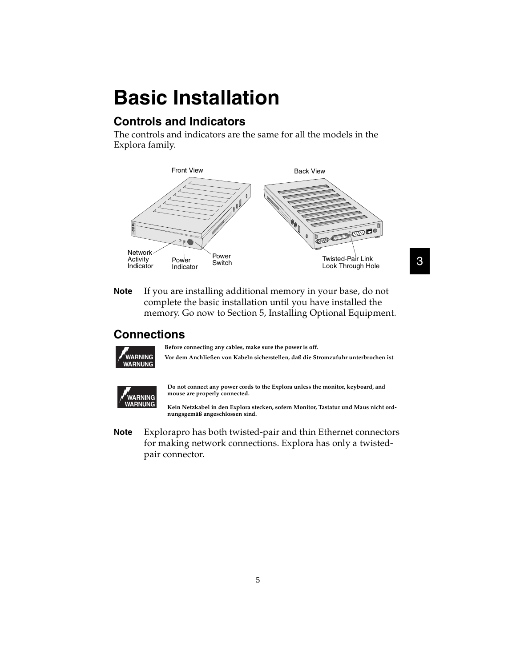# **Basic Installation**

## **Controls and Indicators**

The controls and indicators are the same for all the models in the Explora family.



**Note** If you are installing additional memory in your base, do not complete the basic installation until you have installed the memory. Go now to Section 5, Installing Optional Equipment.

### **Connections**



**Before connecting any cables, make sure the power is off.**

**Vor dem Anchließen von Kabeln sicherstellen, daß die Stromzufuhr unterbrochen ist**.

3



**Do not connect any power cords to the Explora unless the monitor, keyboard, and mouse are properly connected.** 

**Kein Netzkabel in den Explora stecken, sofern Monitor, Tastatur und Maus nicht ordnungsgemäß angeschlossen sind.** 

**Note** Explorapro has both twisted-pair and thin Ethernet connectors for making network connections. Explora has only a twistedpair connector.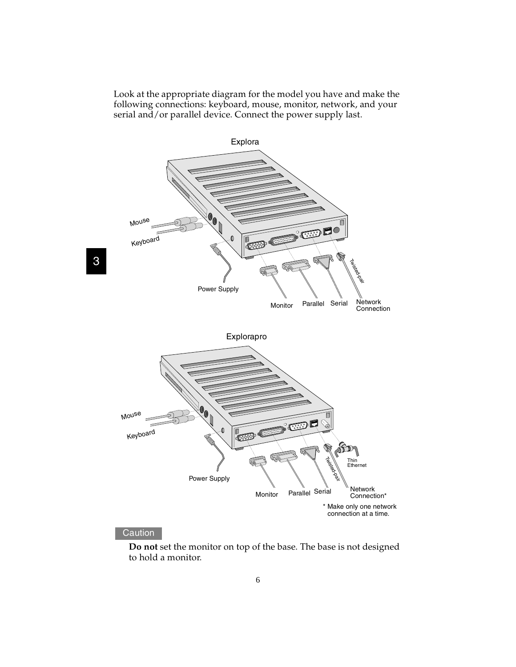Look at the appropriate diagram for the model you have and make the following connections: keyboard, mouse, monitor, network, and your serial and/or parallel device. Connect the power supply last.



#### **Caution**

**Do not** set the monitor on top of the base. The base is not designed to hold a monitor.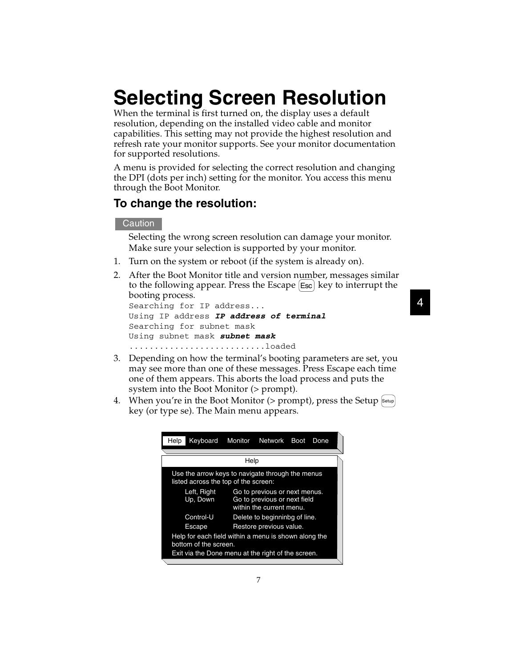# **Selecting Screen Resolution**

When the terminal is first turned on, the display uses a default resolution, depending on the installed video cable and monitor capabilities. This setting may not provide the highest resolution and refresh rate your monitor supports. See your monitor documentation for supported resolutions.

A menu is provided for selecting the correct resolution and changing the DPI (dots per inch) setting for the monitor. You access this menu through the Boot Monitor.

#### **To change the resolution:**

#### **Caution**

Selecting the wrong screen resolution can damage your monitor. Make sure your selection is supported by your monitor.

- 1. Turn on the system or reboot (if the system is already on).
- 2. After the Boot Monitor title and version number, messages similar to the following appear. Press the Escape  $[{\sf Esc}]$  key to interrupt the booting process.

```
Searching for IP address...
Using IP address IP address of terminal
Searching for subnet mask
Using subnet mask subnet mask
.........................loaded
```
- 3. Depending on how the terminal's booting parameters are set, you may see more than one of these messages. Press Escape each time one of them appears. This aborts the load process and puts the system into the Boot Monitor (> prompt).
- 4. When you're in the Boot Monitor (> prompt), press the Setup Setup key (or type se). The Main menu appears.

| Help                                                                                                                                | Keyboard                                                                                                             | Monitor | Network                 | <b>Boot</b> | Done |  |
|-------------------------------------------------------------------------------------------------------------------------------------|----------------------------------------------------------------------------------------------------------------------|---------|-------------------------|-------------|------|--|
|                                                                                                                                     |                                                                                                                      |         |                         |             |      |  |
|                                                                                                                                     |                                                                                                                      | Help    |                         |             |      |  |
|                                                                                                                                     | Use the arrow keys to navigate through the menus<br>listed across the top of the screen:                             |         |                         |             |      |  |
|                                                                                                                                     | Left, Right<br>Go to previous or next menus.<br>Up, Down<br>Go to previous or next field<br>within the current menu. |         |                         |             |      |  |
|                                                                                                                                     | Control-U<br>Delete to beginninbg of line.                                                                           |         |                         |             |      |  |
|                                                                                                                                     | <b>Escape</b>                                                                                                        |         | Restore previous value. |             |      |  |
| Help for each field within a menu is shown along the<br>bottom of the screen.<br>Exit via the Done menu at the right of the screen. |                                                                                                                      |         |                         |             |      |  |
|                                                                                                                                     |                                                                                                                      |         |                         |             |      |  |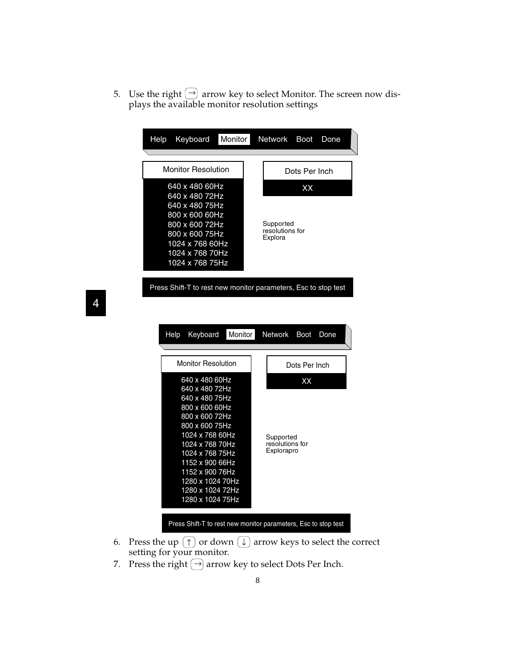5. Use the right  $\left(\rightarrow\right)$  arrow key to select Monitor. The screen now displays the available monitor resolution settings  $\rightarrow$ 

| Help                                                                                                                                                              | Keyboard                                                       | Monitor | Network                                 | Boot          | Done |
|-------------------------------------------------------------------------------------------------------------------------------------------------------------------|----------------------------------------------------------------|---------|-----------------------------------------|---------------|------|
| <b>Monitor Resolution</b>                                                                                                                                         |                                                                |         |                                         | Dots Per Inch |      |
| 640 x 480 60Hz<br>640 x 480 72Hz<br>640 x 480 75Hz<br>800 x 600 60Hz<br>800 x 600 72Hz<br>800 x 600 75Hz<br>1024 x 768 60Hz<br>1024 x 768 70Hz<br>1024 x 768 75Hz |                                                                |         | Supported<br>resolutions for<br>Explora | XX            |      |
|                                                                                                                                                                   | Press Shift-T to rest new monitor parameters, Esc to stop test |         |                                         |               |      |
|                                                                                                                                                                   | Keyboard<br>Help                                               | Monitor | Network                                 | <b>Boot</b>   | Done |
|                                                                                                                                                                   | <b>Monitor Resolution</b>                                      |         |                                         | Dots Per Inch |      |

Press Shift-T to rest new monitor parameters, Esc to stop test

- 6. Press the up  $(\uparrow)$  or down  $(\downarrow)$  arrow keys to select the correct setting for your monitor.
- 7. Press the right  $(\rightarrow)$  arrow key to select Dots Per Inch.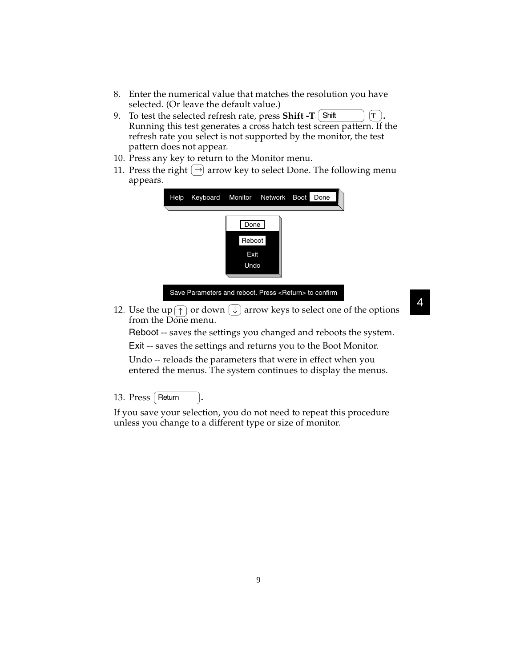- 8. Enter the numerical value that matches the resolution you have selected. (Or leave the default value.)
- 9. To test the selected refresh rate, press **Shift -T**  $\boxed{\text{Shift}}$   $\boxed{\text{T}}$ . Running this test generates a cross hatch test screen pattern. If the refresh rate you select is not supported by the monitor, the test pattern does not appear.
- 10. Press any key to return to the Monitor menu.
- 11. Press the right  $\rightarrow$  arrow key to select Done. The following menu appears.



Save Parameters and reboot. Press <Return> to confirm

12. Use the up  $(\uparrow)$  or down  $(\downarrow)$  arrow keys to select one of the options from the Done menu.

Reboot -- saves the settings you changed and reboots the system. Exit -- saves the settings and returns you to the Boot Monitor.

Undo -- reloads the parameters that were in effect when you entered the menus. The system continues to display the menus.

13. Press | Return | .

If you save your selection, you do not need to repeat this procedure unless you change to a different type or size of monitor.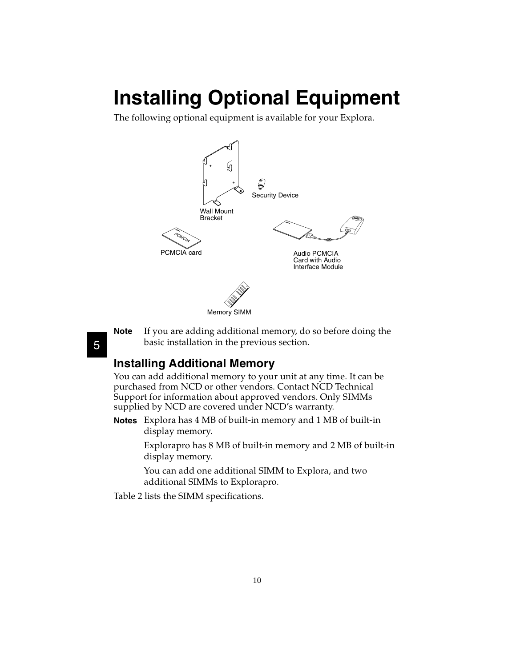# **Installing Optional Equipment**

The following optional equipment is available for your Explora.



**Note** If you are adding additional memory, do so before doing the basic installation in the previous section.

### **Installing Additional Memory**

You can add additional memory to your unit at any time. It can be purchased from NCD or other vendors. Contact NCD Technical Support for information about approved vendors. Only SIMMs supplied by NCD are covered under NCD's warranty.

**Notes** Explora has 4 MB of built-in memory and 1 MB of built-in display memory.

> Explorapro has 8 MB of built-in memory and 2 MB of built-in display memory.

You can add one additional SIMM to Explora, and two additional SIMMs to Explorapro.

Table 2 lists the SIMM specifications.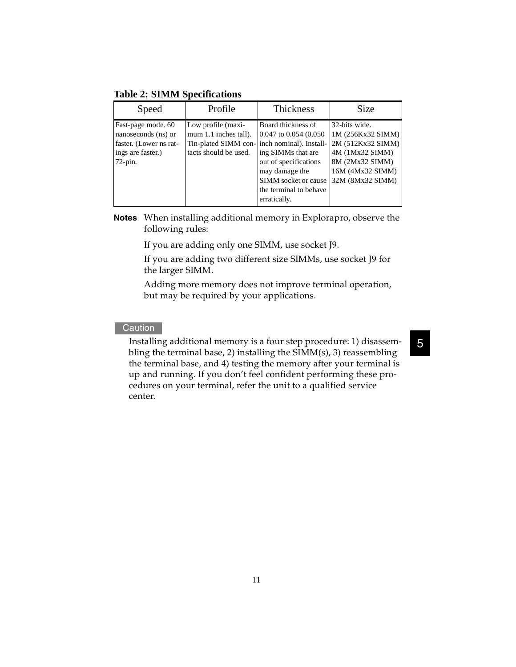#### **Table 2: SIMM Specifications**

| Speed                                                                                                  | Profile                                                                                                              | <b>Thickness</b>                                                                                                                                                | <b>Size</b>                                                                                                                           |
|--------------------------------------------------------------------------------------------------------|----------------------------------------------------------------------------------------------------------------------|-----------------------------------------------------------------------------------------------------------------------------------------------------------------|---------------------------------------------------------------------------------------------------------------------------------------|
| Fast-page mode. 60<br>nanoseconds (ns) or<br>faster. (Lower ns rat-<br>ings are faster.)<br>$72$ -pin. | Low profile (maxi-<br>mum 1.1 inches tall).<br>Tin-plated SIMM con- inch nominal). Install-<br>tacts should be used. | Board thickness of<br>0.047 to 0.054 (0.050)<br>ing SIMMs that are<br>out of specifications<br>may damage the<br>SIMM socket or cause<br>the terminal to behave | 32-bits wide.<br>1M (256Kx32 SIMM)<br>2M (512Kx32 SIMM)<br>4M (1Mx32 SIMM)<br>8M (2Mx32 SIMM)<br>16M (4Mx32 SIMM)<br>32M (8Mx32 SIMM) |
|                                                                                                        |                                                                                                                      | erratically.                                                                                                                                                    |                                                                                                                                       |

**Notes** When installing additional memory in Explorapro, observe the following rules:

If you are adding only one SIMM, use socket J9.

If you are adding two different size SIMMs, use socket J9 for the larger SIMM.

Adding more memory does not improve terminal operation, but may be required by your applications.

#### **Caution**

Installing additional memory is a four step procedure: 1) disassembling the terminal base, 2) installing the SIMM(s), 3) reassembling the terminal base, and 4) testing the memory after your terminal is up and running. If you don't feel confident performing these procedures on your terminal, refer the unit to a qualified service center.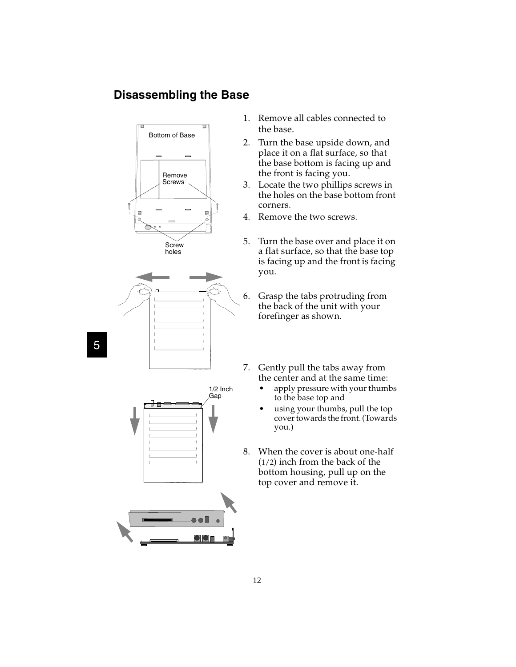## **Disassembling the Base**





5

- 1. Remove all cables connected to the base.
- 2. Turn the base upside down, and place it on a flat surface, so that the base bottom is facing up and the front is facing you.
- 3. Locate the two phillips screws in the holes on the base bottom front corners.
- 4. Remove the two screws.
- 5. Turn the base over and place it on a flat surface, so that the base top is facing up and the front is facing you.

6. Grasp the tabs protruding from the back of the unit with your forefinger as shown.

- 7. Gently pull the tabs away from the center and at the same time:
	- apply pressure with your thumbs to the base top and
	- using your thumbs, pull the top cover towards the front. (Towards you.)
- 8. When the cover is about one-half (1/2) inch from the back of the bottom housing, pull up on the top cover and remove it.

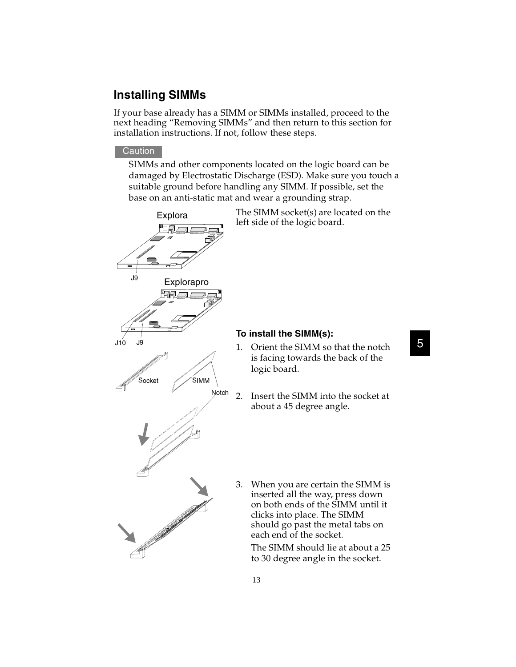## **Installing SIMMs**

If your base already has a SIMM or SIMMs installed, proceed to the next heading "Removing SIMMs" and then return to this section for installation instructions. If not, follow these steps.

#### **Caution**

SIMMs and other components located on the logic board can be damaged by Electrostatic Discharge (ESD). Make sure you touch a suitable ground before handling any SIMM. If possible, set the base on an anti-static mat and wear a grounding strap.

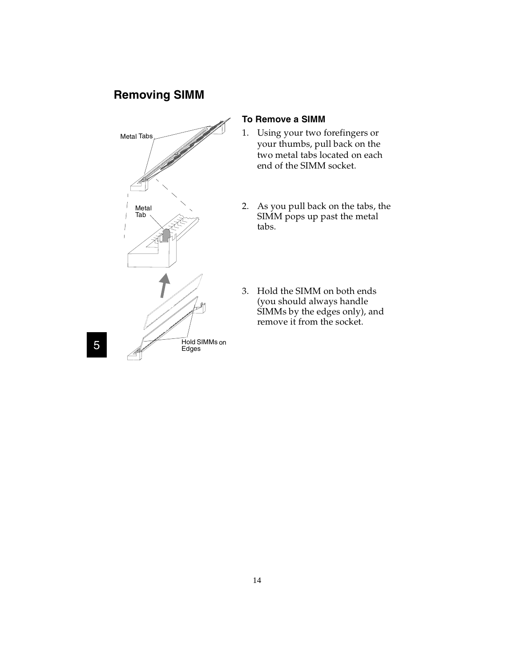## **Removing SIMM**



#### **To Remove a SIMM**

- 1. Using your two forefingers or your thumbs, pull back on the two metal tabs located on each end of the SIMM socket.
- 2. As you pull back on the tabs, the SIMM pops up past the metal tabs.
- 3. Hold the SIMM on both ends (you should always handle SIMMs by the edges only), and remove it from the socket.

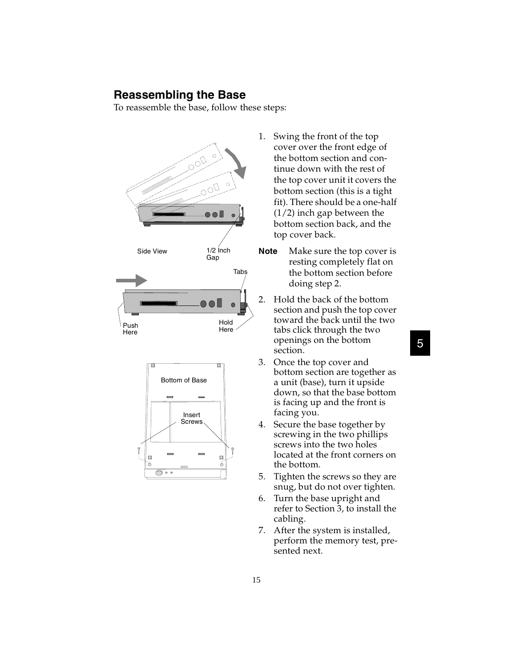#### **Reassembling the Base**

To reassemble the base, follow these steps:





- 1. Swing the front of the top cover over the front edge of the bottom section and continue down with the rest of the top cover unit it covers the bottom section (this is a tight fit). There should be a one-half (1/2) inch gap between the bottom section back, and the top cover back.
- **Note** Make sure the top cover is resting completely flat on the bottom section before doing step 2.
- 2. Hold the back of the bottom section and push the top cover toward the back until the two tabs click through the two openings on the bottom section.
- 3. Once the top cover and bottom section are together as a unit (base), turn it upside down, so that the base bottom is facing up and the front is facing you.
- 4. Secure the base together by screwing in the two phillips screws into the two holes located at the front corners on the bottom.
- 5. Tighten the screws so they are snug, but do not over tighten.
- 6. Turn the base upright and refer to Section 3, to install the cabling.
- 7. After the system is installed, perform the memory test, presented next.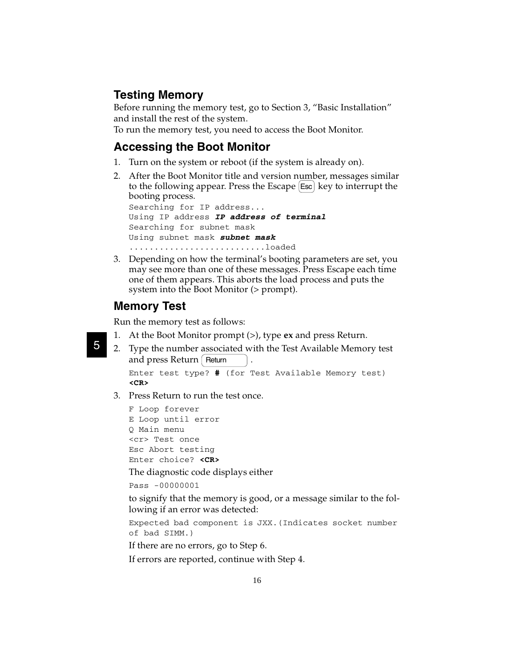### **Testing Memory**

Before running the memory test, go to Section 3, "Basic Installation" and install the rest of the system.

To run the memory test, you need to access the Boot Monitor.

#### **Accessing the Boot Monitor**

- 1. Turn on the system or reboot (if the system is already on).
- 2. After the Boot Monitor title and version number, messages similar to the following appear. Press the Escape [Esc] key to interrupt the booting process.

Searching for IP address... Using IP address **IP address of terminal** Searching for subnet mask Using subnet mask **subnet mask** ...........................loaded

3. Depending on how the terminal's booting parameters are set, you may see more than one of these messages. Press Escape each time one of them appears. This aborts the load process and puts the system into the Boot Monitor (> prompt).

#### **Memory Test**

5

Run the memory test as follows:

- 1. At the Boot Monitor prompt (>), type **ex** and press Return.
- 2. Type the number associated with the Test Available Memory test and press  $Return$   $|$  Return  $|$  .

```
Enter test type? # (for Test Available Memory test)
<CR>
```
3. Press Return to run the test once.

```
F Loop forever
E Loop until error
Q Main menu
<cr> Test once 
Esc Abort testing
Enter choice? <CR>
```
The diagnostic code displays either

Pass -00000001

to signify that the memory is good, or a message similar to the following if an error was detected:

Expected bad component is JXX.(Indicates socket number of bad SIMM.)

If there are no errors, go to Step 6.

If errors are reported, continue with Step 4.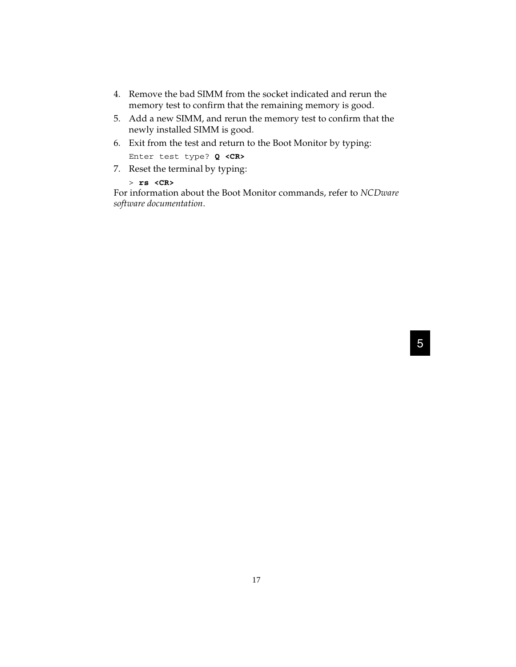- 4. Remove the bad SIMM from the socket indicated and rerun the memory test to confirm that the remaining memory is good.
- 5. Add a new SIMM, and rerun the memory test to confirm that the newly installed SIMM is good.
- 6. Exit from the test and return to the Boot Monitor by typing: Enter test type? **Q <CR>**
- 7. Reset the terminal by typing:

> **rs <CR>**

For information about the Boot Monitor commands, refer to *NCDware software documentation*.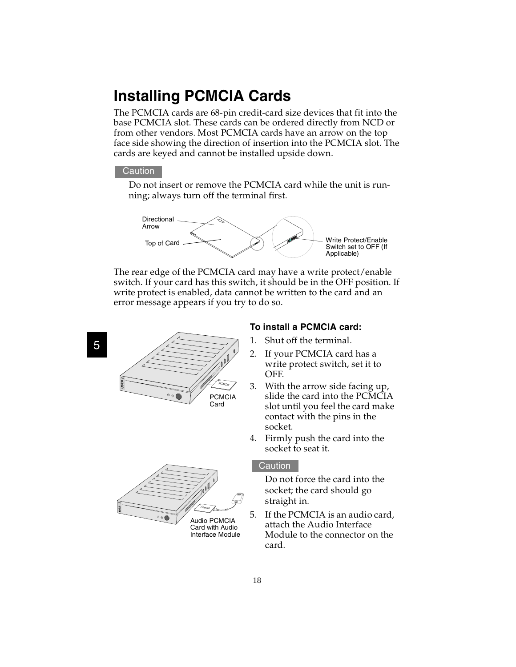## **Installing PCMCIA Cards**

The PCMCIA cards are 68-pin credit-card size devices that fit into the base PCMCIA slot. These cards can be ordered directly from NCD or from other vendors. Most PCMCIA cards have an arrow on the top face side showing the direction of insertion into the PCMCIA slot. The cards are keyed and cannot be installed upside down.

#### **Caution**

Do not insert or remove the PCMCIA card while the unit is running; always turn off the terminal first.



The rear edge of the PCMCIA card may have a write protect/enable switch. If your card has this switch, it should be in the OFF position. If write protect is enabled, data cannot be written to the card and an error message appears if you try to do so.

### 5



#### **To install a PCMCIA card:**

- 1. Shut off the terminal.
- 2. If your PCMCIA card has a write protect switch, set it to OFF.
- 3. With the arrow side facing up, slide the card into the PCMCIA slot until you feel the card make contact with the pins in the socket.
- 4. Firmly push the card into the socket to seat it.



#### **Caution**

Do not force the card into the socket; the card should go straight in.

5. If the PCMCIA is an audio card, attach the Audio Interface Module to the connector on the card.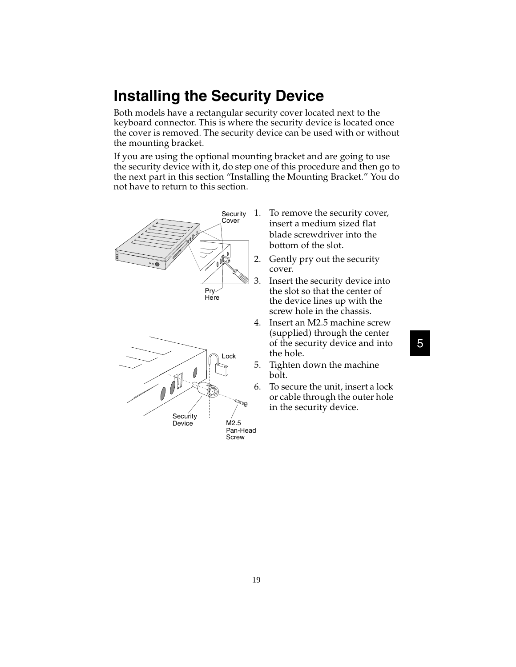## **Installing the Security Device**

Both models have a rectangular security cover located next to the keyboard connector. This is where the security device is located once the cover is removed. The security device can be used with or without the mounting bracket.

If you are using the optional mounting bracket and are going to use the security device with it, do step one of this procedure and then go to the next part in this section "Installing the Mounting Bracket." You do not have to return to this section.



- 1. To remove the security cover, insert a medium sized flat blade screwdriver into the bottom of the slot.
- 2. Gently pry out the security cover.
- 3. Insert the security device into the slot so that the center of the device lines up with the screw hole in the chassis.
- 4. Insert an M2.5 machine screw (supplied) through the center of the security device and into the hole.

5. Tighten down the machine bolt.

6. To secure the unit, insert a lock or cable through the outer hole in the security device.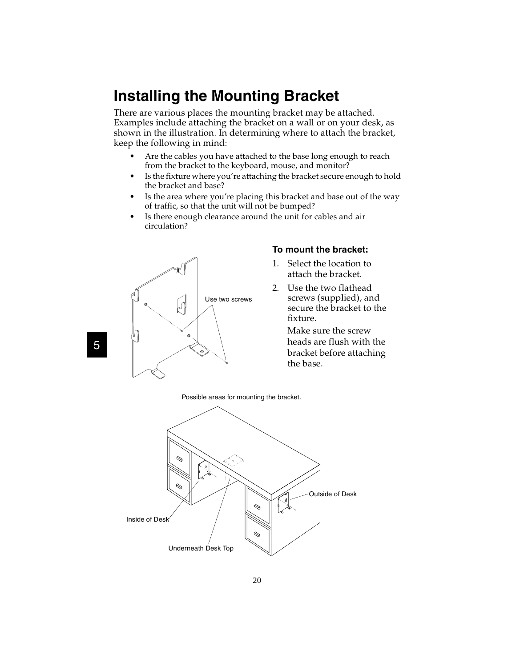## **Installing the Mounting Bracket**

There are various places the mounting bracket may be attached. Examples include attaching the bracket on a wall or on your desk, as shown in the illustration. In determining where to attach the bracket, keep the following in mind:

- Are the cables you have attached to the base long enough to reach from the bracket to the keyboard, mouse, and monitor?
- Is the fixture where you're attaching the bracket secure enough to hold the bracket and base?
- Is the area where you're placing this bracket and base out of the way of traffic, so that the unit will not be bumped?
- Is there enough clearance around the unit for cables and air circulation?



#### **To mount the bracket:**

- 1. Select the location to attach the bracket.
- 2. Use the two flathead screws (supplied), and secure the bracket to the fixture.

Make sure the screw heads are flush with the bracket before attaching the base.

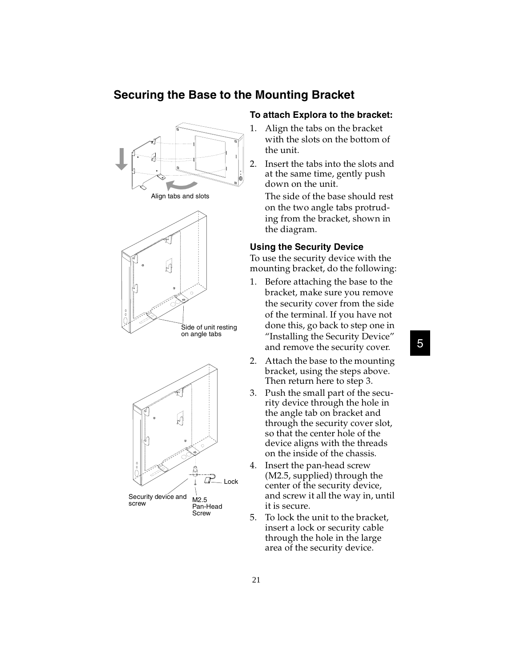### **Securing the Base to the Mounting Bracket**







#### **To attach Explora to the bracket:**

- 1. Align the tabs on the bracket with the slots on the bottom of the unit.
- 2. Insert the tabs into the slots and at the same time, gently push down on the unit.

The side of the base should rest on the two angle tabs protruding from the bracket, shown in the diagram.

#### **Using the Security Device**

To use the security device with the mounting bracket, do the following:

- 1. Before attaching the base to the bracket, make sure you remove the security cover from the side of the terminal. If you have not done this, go back to step one in "Installing the Security Device" and remove the security cover.
- 2. Attach the base to the mounting bracket, using the steps above. Then return here to step 3.
- 3. Push the small part of the security device through the hole in the angle tab on bracket and through the security cover slot, so that the center hole of the device aligns with the threads on the inside of the chassis.
- 4. Insert the pan-head screw (M2.5, supplied) through the center of the security device, and screw it all the way in, until it is secure.
- 5. To lock the unit to the bracket, insert a lock or security cable through the hole in the large area of the security device.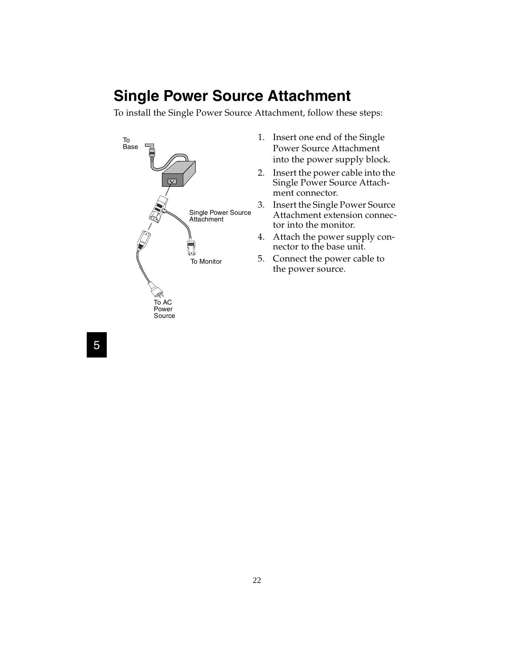## **Single Power Source Attachment**

To install the Single Power Source Attachment, follow these steps:



- 1. Insert one end of the Single Power Source Attachment into the power supply block.
- 2. Insert the power cable into the Single Power Source Attachment connector.
- 3. Insert the Single Power Source Attachment extension connector into the monitor.
- 4. Attach the power supply connector to the base unit.
- 5. Connect the power cable to the power source.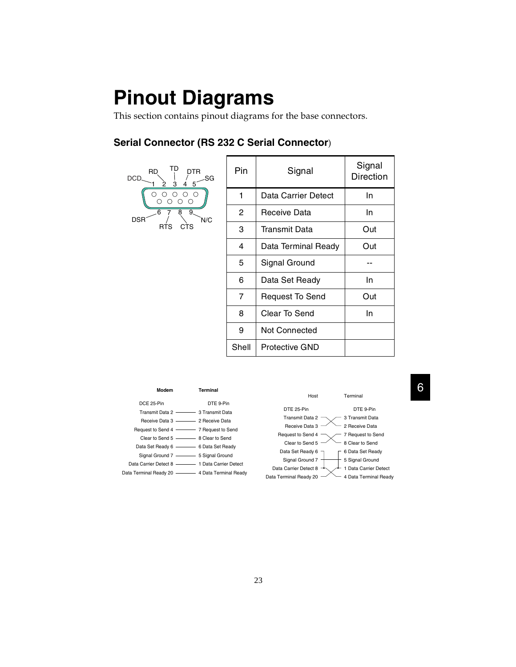# **Pinout Diagrams**

This section contains pinout diagrams for the base connectors.

### **Serial Connector (RS 232 C Serial Connector**)

| TD<br>DTR.<br><b>RD</b><br>SG<br><b>DCD</b><br>3<br>5 | Pin   | Signal                 | Signal<br><b>Direction</b> |
|-------------------------------------------------------|-------|------------------------|----------------------------|
| ( )                                                   | 1     | Data Carrier Detect    | In.                        |
| 6<br>9 <sub>1</sub><br>8<br><b>DSR</b><br>N/C         | 2     | Receive Data           | In.                        |
| <b>RTS</b><br><b>CTS</b>                              | 3     | Transmit Data          | Out                        |
|                                                       | 4     | Data Terminal Ready    | Out                        |
|                                                       | 5     | Signal Ground          |                            |
|                                                       | 6     | Data Set Ready         | In.                        |
|                                                       | 7     | <b>Request To Send</b> | Out                        |
|                                                       | 8     | Clear To Send          | In.                        |
|                                                       | 9     | Not Connected          |                            |
|                                                       | Shell | <b>Protective GND</b>  |                            |



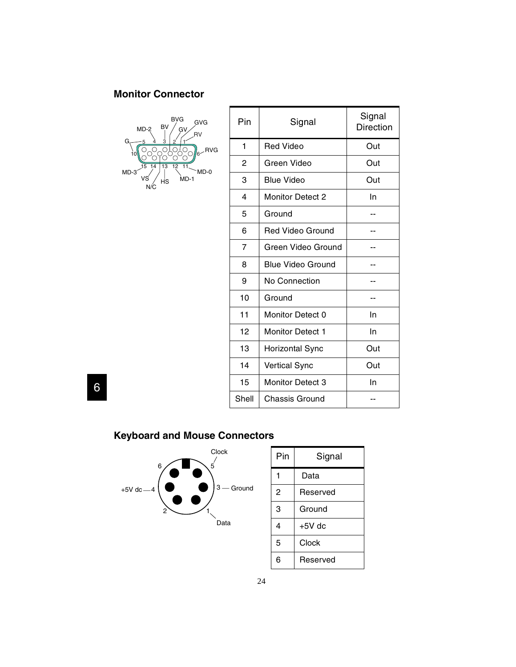## **Monitor Connector**



| Pin            | Signal                   | Signal<br><b>Direction</b> |
|----------------|--------------------------|----------------------------|
| 1              | <b>Red Video</b>         | Out                        |
| $\overline{c}$ | Green Video              | Out                        |
| 3              | <b>Blue Video</b>        | Out                        |
| 4              | <b>Monitor Detect 2</b>  | In                         |
| 5              | Ground                   |                            |
| 6              | <b>Red Video Ground</b>  |                            |
| 7              | Green Video Ground       |                            |
| 8              | <b>Blue Video Ground</b> |                            |
| 9              | No Connection            |                            |
| 10             | Ground                   |                            |
| 11             | Monitor Detect 0         | In                         |
| 12             | <b>Monitor Detect 1</b>  | In                         |
| 13             | <b>Horizontal Sync</b>   | Out                        |
| 14             | <b>Vertical Sync</b>     | Out                        |
| 15             | Monitor Detect 3         | In                         |
| Shell          | Chassis Ground           |                            |

6

## **Keyboard and Mouse Connectors**



6 Reserved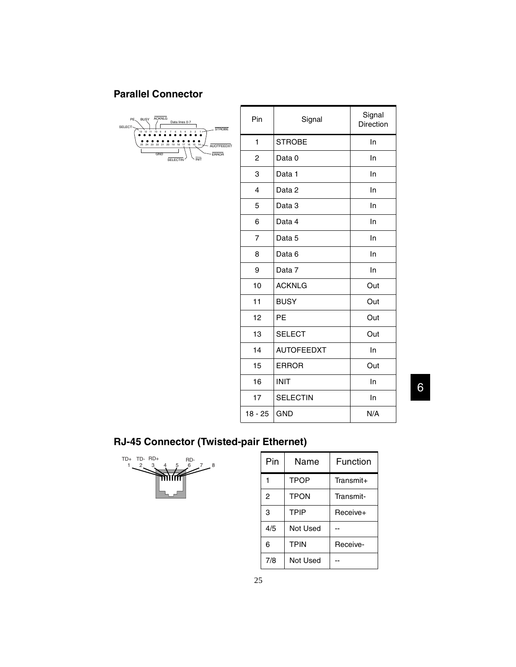## **Parallel Connector**

| <b>ACKNLG</b><br><b>BUSY</b><br>PE.<br>Data lines 0-7<br>SELECT-<br><b>STROBE</b>                                                                               |
|-----------------------------------------------------------------------------------------------------------------------------------------------------------------|
| 12<br>13<br>6<br>8<br>2<br>11<br>10<br>-9<br>-6<br>$\mathcal{R}$<br>4<br>.<br>.<br>.<br>25 24 23 22 21 20 19<br>18<br>16<br>15<br>14<br>17<br><b>AUOTFEEDXT</b> |
| <b>GND</b><br><b>ERROR</b><br>INIT<br>SELECTIN                                                                                                                  |

| Pin                     | Signal            | Signal<br>Direction |
|-------------------------|-------------------|---------------------|
| 1                       | <b>STROBE</b>     | In                  |
| 2                       | Data <sub>0</sub> | In                  |
| 3                       | Data 1            | In                  |
| $\overline{\mathbf{4}}$ | Data <sub>2</sub> | In                  |
| 5                       | Data 3            | In                  |
| 6                       | Data 4            | In                  |
| 7                       | Data 5            | In                  |
| 8                       | Data 6            | In                  |
| 9                       | Data 7            | In                  |
| 10                      | <b>ACKNLG</b>     | Out                 |
| 11                      | <b>BUSY</b>       | Out                 |
| 12                      | PE                | Out                 |
| 13                      | <b>SELECT</b>     | Out                 |
| 14                      | <b>AUTOFEEDXT</b> | In                  |
| 15                      | <b>ERROR</b>      | Out                 |
| 16                      | <b>INIT</b>       | In                  |
| 17                      | <b>SELECTIN</b>   | In                  |
| $18 - 25$               | <b>GND</b>        | N/A                 |

6

## **RJ-45 Connector (Twisted-pair Ethernet)**



| $RD+$<br>TD+<br>TD-<br>RD-<br>6<br>$2^7-8$<br>$2_{-}$<br>3<br>5 | Pin | Name        | Function  |
|-----------------------------------------------------------------|-----|-------------|-----------|
| <b>minth</b>                                                    |     | <b>TPOP</b> | Transmit+ |
|                                                                 | 2   | <b>TPON</b> | Transmit- |
|                                                                 | 3   | <b>TPIP</b> | Receive+  |
|                                                                 | 4/5 | Not Used    |           |
|                                                                 | 6   | <b>TPIN</b> | Receive-  |
|                                                                 | 7/8 | Not Used    |           |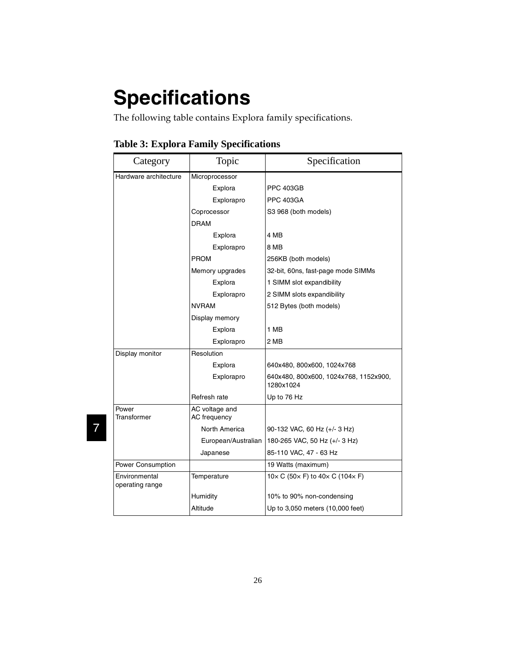# **Specifications**

The following table contains Explora family specifications.

| Category                         | Topic                          | Specification                                                   |
|----------------------------------|--------------------------------|-----------------------------------------------------------------|
| Hardware architecture            | Microprocessor                 |                                                                 |
|                                  | Explora                        | <b>PPC 403GB</b>                                                |
|                                  | Explorapro                     | <b>PPC 403GA</b>                                                |
|                                  | Coprocessor                    | S3 968 (both models)                                            |
|                                  | <b>DRAM</b>                    |                                                                 |
|                                  | Explora                        | 4 MB                                                            |
|                                  | Explorapro                     | 8 MB                                                            |
|                                  | <b>PROM</b>                    | 256KB (both models)                                             |
|                                  | Memory upgrades                | 32-bit, 60ns, fast-page mode SIMMs                              |
|                                  | Explora                        | 1 SIMM slot expandibility                                       |
|                                  | Explorapro                     | 2 SIMM slots expandibility                                      |
|                                  | <b>NVRAM</b>                   | 512 Bytes (both models)                                         |
|                                  | Display memory                 |                                                                 |
|                                  | Explora                        | 1 MB                                                            |
|                                  | Explorapro                     | 2 MB                                                            |
| Display monitor                  | Resolution                     |                                                                 |
|                                  | Explora                        | 640x480, 800x600, 1024x768                                      |
|                                  | Explorapro                     | 640x480, 800x600, 1024x768, 1152x900,<br>1280x1024              |
|                                  | Refresh rate                   | Up to 76 Hz                                                     |
| Power<br>Transformer             | AC voltage and<br>AC frequency |                                                                 |
|                                  | North America                  | 90-132 VAC, 60 Hz (+/- 3 Hz)                                    |
|                                  | European/Australian            | 180-265 VAC, 50 Hz (+/- 3 Hz)                                   |
|                                  | Japanese                       | 85-110 VAC, 47 - 63 Hz                                          |
| Power Consumption                |                                | 19 Watts (maximum)                                              |
| Environmental<br>operating range | Temperature                    | $10 \times C$ (50 $\times$ F) to 40 $\times$ C (104 $\times$ F) |
|                                  | Humidity                       | 10% to 90% non-condensing                                       |
|                                  | Altitude                       | Up to 3,050 meters (10,000 feet)                                |

**Table 3: Explora Family Specifications**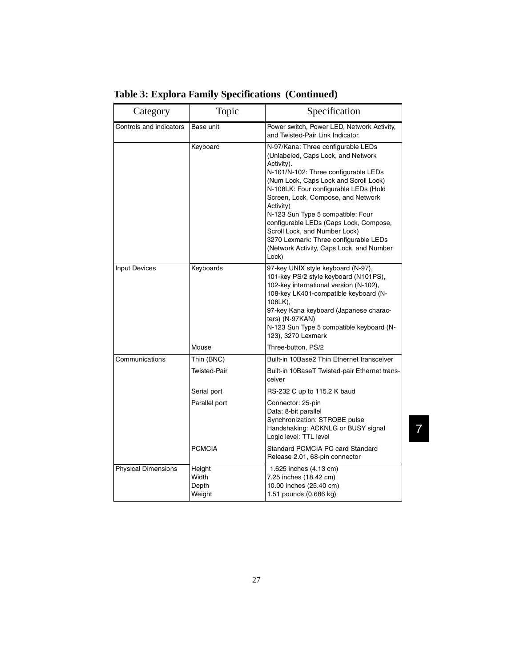| Category                   | Topic                              | Specification                                                                                                                                                                                                                                                                                                                                                                                                                                                                     |
|----------------------------|------------------------------------|-----------------------------------------------------------------------------------------------------------------------------------------------------------------------------------------------------------------------------------------------------------------------------------------------------------------------------------------------------------------------------------------------------------------------------------------------------------------------------------|
| Controls and indicators    | Base unit                          | Power switch, Power LED, Network Activity,<br>and Twisted-Pair Link Indicator.                                                                                                                                                                                                                                                                                                                                                                                                    |
|                            | Keyboard                           | N-97/Kana: Three configurable LEDs<br>(Unlabeled, Caps Lock, and Network<br>Activity).<br>N-101/N-102: Three configurable LEDs<br>(Num Lock, Caps Lock and Scroll Lock)<br>N-108LK: Four configurable LEDs (Hold<br>Screen, Lock, Compose, and Network<br>Activity)<br>N-123 Sun Type 5 compatible: Four<br>configurable LEDs (Caps Lock, Compose,<br>Scroll Lock, and Number Lock)<br>3270 Lexmark: Three configurable LEDs<br>(Network Activity, Caps Lock, and Number<br>Lock) |
| <b>Input Devices</b>       | Keyboards                          | 97-key UNIX style keyboard (N-97),<br>101-key PS/2 style keyboard (N101PS),<br>102-key international version (N-102),<br>108-key LK401-compatible keyboard (N-<br>108LK),<br>97-key Kana keyboard (Japanese charac-<br>ters) (N-97KAN)<br>N-123 Sun Type 5 compatible keyboard (N-<br>123), 3270 Lexmark                                                                                                                                                                          |
|                            | Mouse                              | Three-button, PS/2                                                                                                                                                                                                                                                                                                                                                                                                                                                                |
| Communications             | Thin (BNC)                         | Built-in 10Base2 Thin Ethernet transceiver                                                                                                                                                                                                                                                                                                                                                                                                                                        |
|                            | Twisted-Pair                       | Built-in 10BaseT Twisted-pair Ethernet trans-<br>ceiver                                                                                                                                                                                                                                                                                                                                                                                                                           |
|                            | Serial port                        | RS-232 C up to 115.2 K baud                                                                                                                                                                                                                                                                                                                                                                                                                                                       |
|                            | Parallel port                      | Connector: 25-pin<br>Data: 8-bit parallel<br>Synchronization: STROBE pulse<br>Handshaking: ACKNLG or BUSY signal<br>Logic level: TTL level                                                                                                                                                                                                                                                                                                                                        |
|                            | <b>PCMCIA</b>                      | Standard PCMCIA PC card Standard<br>Release 2.01, 68-pin connector                                                                                                                                                                                                                                                                                                                                                                                                                |
| <b>Physical Dimensions</b> | Height<br>Width<br>Depth<br>Weight | 1.625 inches (4.13 cm)<br>7.25 inches (18.42 cm)<br>10.00 inches (25.40 cm)<br>1.51 pounds (0.686 kg)                                                                                                                                                                                                                                                                                                                                                                             |

**Table 3: Explora Family Specifications (Continued)**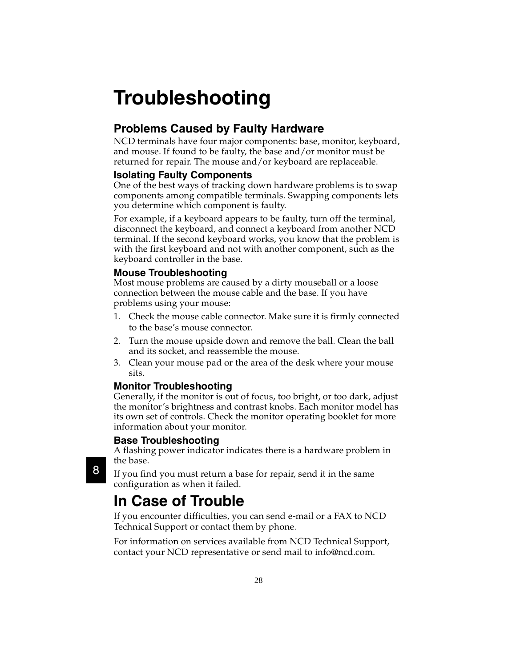## **Troubleshooting**

## **Problems Caused by Faulty Hardware**

NCD terminals have four major components: base, monitor, keyboard, and mouse. If found to be faulty, the base and/or monitor must be returned for repair. The mouse and/or keyboard are replaceable.

#### **Isolating Faulty Components**

One of the best ways of tracking down hardware problems is to swap components among compatible terminals. Swapping components lets you determine which component is faulty.

For example, if a keyboard appears to be faulty, turn off the terminal, disconnect the keyboard, and connect a keyboard from another NCD terminal. If the second keyboard works, you know that the problem is with the first keyboard and not with another component, such as the keyboard controller in the base.

#### **Mouse Troubleshooting**

Most mouse problems are caused by a dirty mouseball or a loose connection between the mouse cable and the base. If you have problems using your mouse:

- 1. Check the mouse cable connector. Make sure it is firmly connected to the base's mouse connector.
- 2. Turn the mouse upside down and remove the ball. Clean the ball and its socket, and reassemble the mouse.
- 3. Clean your mouse pad or the area of the desk where your mouse sits.

#### **Monitor Troubleshooting**

Generally, if the monitor is out of focus, too bright, or too dark, adjust the monitor's brightness and contrast knobs. Each monitor model has its own set of controls. Check the monitor operating booklet for more information about your monitor.

#### **Base Troubleshooting**

A flashing power indicator indicates there is a hardware problem in the base.

If you find you must return a base for repair, send it in the same configuration as when it failed.

## **In Case of Trouble**

If you encounter difficulties, you can send e-mail or a FAX to NCD Technical Support or contact them by phone.

For information on services available from NCD Technical Support, contact your NCD representative or send mail to info@ncd.com.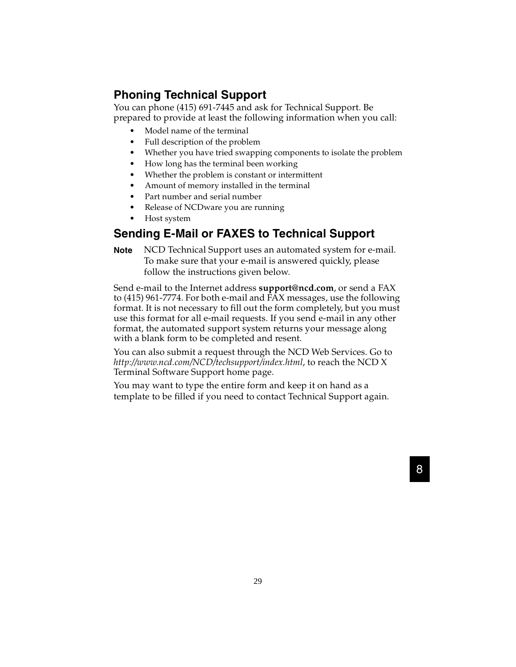## **Phoning Technical Support**

You can phone (415) 691-7445 and ask for Technical Support. Be prepared to provide at least the following information when you call:

- Model name of the terminal
- Full description of the problem
- Whether you have tried swapping components to isolate the problem
- How long has the terminal been working
- Whether the problem is constant or intermittent
- Amount of memory installed in the terminal
- Part number and serial number
- Release of NCDware you are running
- Host system

### **Sending E-Mail or FAXES to Technical Support**

**Note** NCD Technical Support uses an automated system for e-mail. To make sure that your e-mail is answered quickly, please follow the instructions given below.

Send e-mail to the Internet address **support@ncd.com**, or send a FAX to (415) 961-7774. For both e-mail and FAX messages, use the following format. It is not necessary to fill out the form completely, but you must use this format for all e-mail requests. If you send e-mail in any other format, the automated support system returns your message along with a blank form to be completed and resent.

You can also submit a request through the NCD Web Services. Go to *http://www.ncd.com/NCD/techsupport/index.html*, to reach the NCD X Terminal Software Support home page.

You may want to type the entire form and keep it on hand as a template to be filled if you need to contact Technical Support again.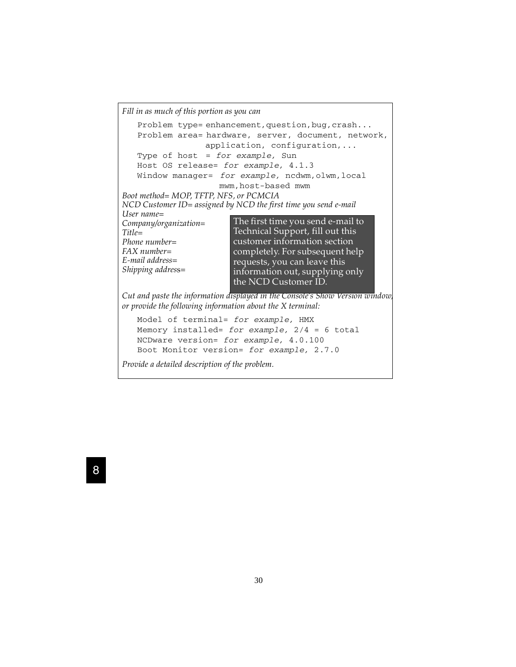*Fill in as much of this portion as you can* Problem type= enhancement, question, bug, crash... Problem area= hardware, server, document, network, application, configuration,... Type of host = for example, Sun Host OS release= for example, 4.1.3 Window manager= for example, ncdwm, olwm, local mwm,host-based mwm *Boot method= MOP, TFTP, NFS, or PCMCIA NCD Customer ID= assigned by NCD the first time you send e-mail User name= Company/organization= Title= Phone number= FAX number= E-mail address= Shipping addres*s= *Cut and paste the information displayed in the Console's Show Version window, or provide the following information about the X terminal:* The first time you send e-mail to Technical Support, fill out this customer information section completely. For subsequent help requests, you can leave this information out, supplying only the NCD Customer ID.

```
Model of terminal= for example, HMX
Memory installed= for example, 2/4 = 6 total
NCDware version= for example, 4.0.100
Boot Monitor version= for example, 2.7.0
```

```
Provide a detailed description of the problem.
```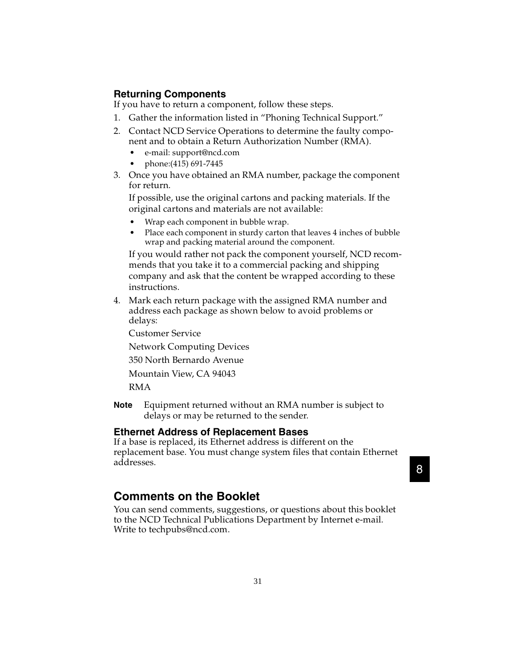#### **Returning Components**

If you have to return a component, follow these steps.

- 1. Gather the information listed in "Phoning Technical Support."
- 2. Contact NCD Service Operations to determine the faulty component and to obtain a Return Authorization Number (RMA).
	- e-mail: support@ncd.com
	- phone:(415) 691-7445
- 3. Once you have obtained an RMA number, package the component for return.

If possible, use the original cartons and packing materials. If the original cartons and materials are not available:

- Wrap each component in bubble wrap.
- Place each component in sturdy carton that leaves 4 inches of bubble wrap and packing material around the component.

If you would rather not pack the component yourself, NCD recommends that you take it to a commercial packing and shipping company and ask that the content be wrapped according to these instructions.

4. Mark each return package with the assigned RMA number and address each package as shown below to avoid problems or delays:

Customer Service

Network Computing Devices

350 North Bernardo Avenue

Mountain View, CA 94043

RMA

**Note** Equipment returned without an RMA number is subject to delays or may be returned to the sender.

#### **Ethernet Address of Replacement Bases**

If a base is replaced, its Ethernet address is different on the replacement base. You must change system files that contain Ethernet addresses.

## 88

#### **Comments on the Booklet**

You can send comments, suggestions, or questions about this booklet to the NCD Technical Publications Department by Internet e-mail. Write to techpubs@ncd.com.